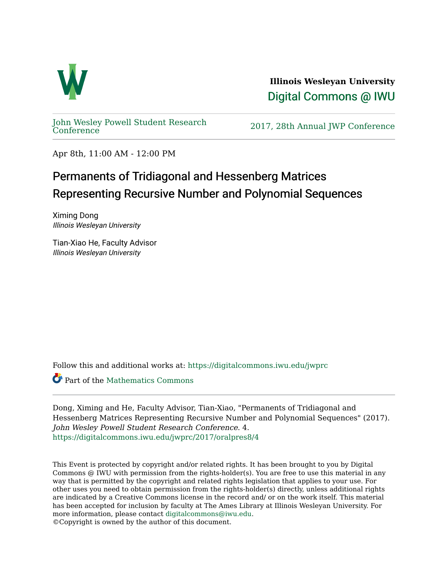

**Illinois Wesleyan University**  [Digital Commons @ IWU](https://digitalcommons.iwu.edu/) 

[John Wesley Powell Student Research](https://digitalcommons.iwu.edu/jwprc) 

2017, 28th Annual JWP [Conference](https://digitalcommons.iwu.edu/jwprc)

Apr 8th, 11:00 AM - 12:00 PM

## Permanents of Tridiagonal and Hessenberg Matrices Representing Recursive Number and Polynomial Sequences

Ximing Dong Illinois Wesleyan University

Tian-Xiao He, Faculty Advisor Illinois Wesleyan University

Follow this and additional works at: [https://digitalcommons.iwu.edu/jwprc](https://digitalcommons.iwu.edu/jwprc?utm_source=digitalcommons.iwu.edu%2Fjwprc%2F2017%2Foralpres8%2F4&utm_medium=PDF&utm_campaign=PDFCoverPages) 

**C** Part of the Mathematics Commons

Dong, Ximing and He, Faculty Advisor, Tian-Xiao, "Permanents of Tridiagonal and Hessenberg Matrices Representing Recursive Number and Polynomial Sequences" (2017). John Wesley Powell Student Research Conference. 4. [https://digitalcommons.iwu.edu/jwprc/2017/oralpres8/4](https://digitalcommons.iwu.edu/jwprc/2017/oralpres8/4?utm_source=digitalcommons.iwu.edu%2Fjwprc%2F2017%2Foralpres8%2F4&utm_medium=PDF&utm_campaign=PDFCoverPages)

This Event is protected by copyright and/or related rights. It has been brought to you by Digital Commons @ IWU with permission from the rights-holder(s). You are free to use this material in any way that is permitted by the copyright and related rights legislation that applies to your use. For other uses you need to obtain permission from the rights-holder(s) directly, unless additional rights are indicated by a Creative Commons license in the record and/ or on the work itself. This material has been accepted for inclusion by faculty at The Ames Library at Illinois Wesleyan University. For more information, please contact [digitalcommons@iwu.edu](mailto:digitalcommons@iwu.edu). ©Copyright is owned by the author of this document.